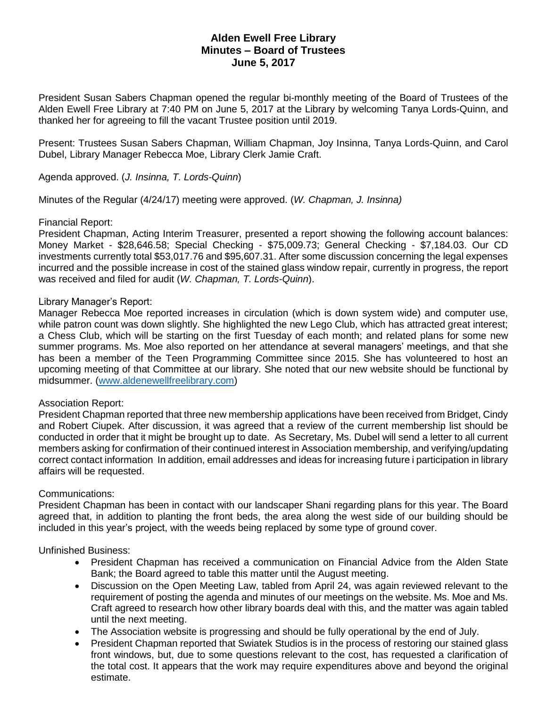# **Alden Ewell Free Library Minutes – Board of Trustees June 5, 2017**

President Susan Sabers Chapman opened the regular bi-monthly meeting of the Board of Trustees of the Alden Ewell Free Library at 7:40 PM on June 5, 2017 at the Library by welcoming Tanya Lords-Quinn, and thanked her for agreeing to fill the vacant Trustee position until 2019.

Present: Trustees Susan Sabers Chapman, William Chapman, Joy Insinna, Tanya Lords-Quinn, and Carol Dubel, Library Manager Rebecca Moe, Library Clerk Jamie Craft.

Agenda approved. (*J. Insinna, T. Lords-Quinn*)

Minutes of the Regular (4/24/17) meeting were approved. (*W. Chapman, J. Insinna)*

# Financial Report:

President Chapman, Acting Interim Treasurer, presented a report showing the following account balances: Money Market - \$28,646.58; Special Checking - \$75,009.73; General Checking - \$7,184.03. Our CD investments currently total \$53,017.76 and \$95,607.31. After some discussion concerning the legal expenses incurred and the possible increase in cost of the stained glass window repair, currently in progress, the report was received and filed for audit (*W. Chapman, T. Lords-Quinn*).

# Library Manager's Report:

Manager Rebecca Moe reported increases in circulation (which is down system wide) and computer use, while patron count was down slightly. She highlighted the new Lego Club, which has attracted great interest; a Chess Club, which will be starting on the first Tuesday of each month; and related plans for some new summer programs. Ms. Moe also reported on her attendance at several managers' meetings, and that she has been a member of the Teen Programming Committee since 2015. She has volunteered to host an upcoming meeting of that Committee at our library. She noted that our new website should be functional by midsummer. [\(www.aldenewellfreelibrary.com\)](http://www.aldenewellfreelibrary.com/)

# Association Report:

President Chapman reported that three new membership applications have been received from Bridget, Cindy and Robert Ciupek. After discussion, it was agreed that a review of the current membership list should be conducted in order that it might be brought up to date. As Secretary, Ms. Dubel will send a letter to all current members asking for confirmation of their continued interest in Association membership, and verifying/updating correct contact information In addition, email addresses and ideas for increasing future i participation in library affairs will be requested.

#### Communications:

President Chapman has been in contact with our landscaper Shani regarding plans for this year. The Board agreed that, in addition to planting the front beds, the area along the west side of our building should be included in this year's project, with the weeds being replaced by some type of ground cover.

Unfinished Business:

- President Chapman has received a communication on Financial Advice from the Alden State Bank; the Board agreed to table this matter until the August meeting.
- Discussion on the Open Meeting Law, tabled from April 24, was again reviewed relevant to the requirement of posting the agenda and minutes of our meetings on the website. Ms. Moe and Ms. Craft agreed to research how other library boards deal with this, and the matter was again tabled until the next meeting.
- The Association website is progressing and should be fully operational by the end of July.
- President Chapman reported that Swiatek Studios is in the process of restoring our stained glass front windows, but, due to some questions relevant to the cost, has requested a clarification of the total cost. It appears that the work may require expenditures above and beyond the original estimate.